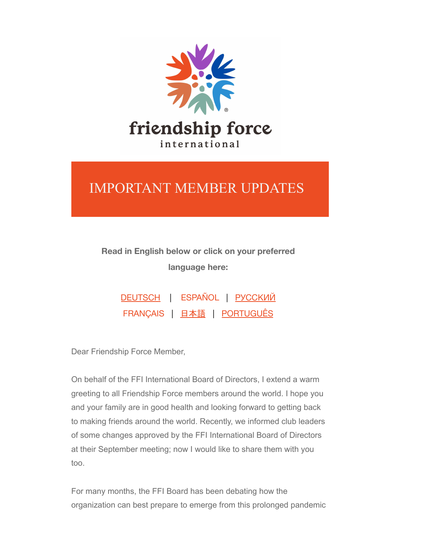

## IMPORTANT MEMBER UPDATES

## **Read in English below or click on your preferred language here:**

| DEUTSCH   ESPAÑOL   РУССКИЙ |  |  |
|-----------------------------|--|--|
| FRANÇAIS   日本語   PORTUGUÊS  |  |  |

Dear Friendship Force Member,

On behalf of the FFI International Board of Directors, I extend a warm greeting to all Friendship Force members around the world. I hope you and your family are in good health and looking forward to getting back to making friends around the world. Recently, we informed club leaders of some changes approved by the FFI International Board of Directors at their September meeting; now I would like to share them with you too.

For many months, the FFI Board has been debating how the organization can best prepare to emerge from this prolonged pandemic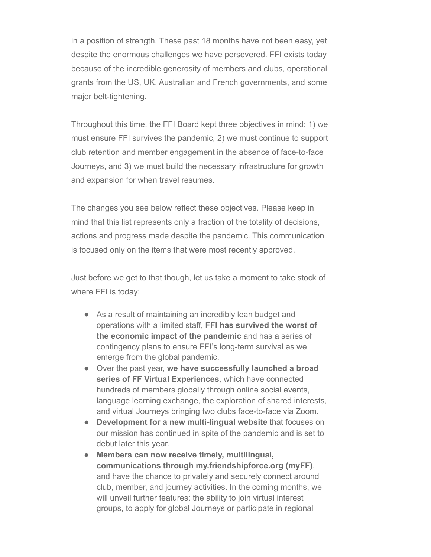in a position of strength. These past 18 months have not been easy, yet despite the enormous challenges we have persevered. FFI exists today because of the incredible generosity of members and clubs, operational grants from the US, UK, Australian and French governments, and some major belt-tightening.

Throughout this time, the FFI Board kept three objectives in mind: 1) we must ensure FFI survives the pandemic, 2) we must continue to support club retention and member engagement in the absence of face-to-face Journeys, and 3) we must build the necessary infrastructure for growth and expansion for when travel resumes.

The changes you see below reflect these objectives. Please keep in mind that this list represents only a fraction of the totality of decisions, actions and progress made despite the pandemic. This communication is focused only on the items that were most recently approved.

Just before we get to that though, let us take a moment to take stock of where FFI is today:

- As a result of maintaining an incredibly lean budget and operations with a limited staff, **FFI has survived the worst of the economic impact of the pandemic** and has a series of contingency plans to ensure FFI's long-term survival as we emerge from the global pandemic.
- Over the past year, **we have successfully launched a broad series of FF Virtual Experiences**, which have connected hundreds of members globally through online social events, language learning exchange, the exploration of shared interests, and virtual Journeys bringing two clubs face-to-face via Zoom.
- **Development for a new multi-lingual website** that focuses on our mission has continued in spite of the pandemic and is set to debut later this year.
- **Members can now receive timely, multilingual, communications through my.friendshipforce.org (myFF)**, and have the chance to privately and securely connect around club, member, and journey activities. In the coming months, we will unveil further features: the ability to join virtual interest groups, to apply for global Journeys or participate in regional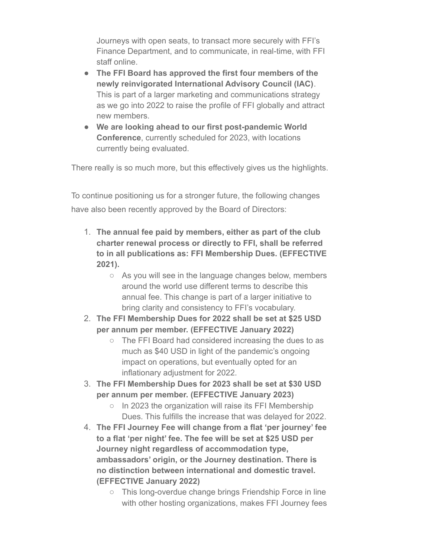Journeys with open seats, to transact more securely with FFI's Finance Department, and to communicate, in real-time, with FFI staff online.

- **The FFI Board has approved the first four members of the newly reinvigorated International Advisory Council (IAC)**. This is part of a larger marketing and communications strategy as we go into 2022 to raise the profile of FFI globally and attract new members.
- **We are looking ahead to our first post-pandemic World Conference**, currently scheduled for 2023, with locations currently being evaluated.

There really is so much more, but this effectively gives us the highlights.

To continue positioning us for a stronger future, the following changes have also been recently approved by the Board of Directors:

- 1. **The annual fee paid by members, either as part of the club charter renewal process or directly to FFI, shall be referred to in all publications as: FFI Membership Dues. (EFFECTIVE 2021).**
	- As you will see in the language changes below, members around the world use different terms to describe this annual fee. This change is part of a larger initiative to bring clarity and consistency to FFI's vocabulary.
- 2. **The FFI Membership Dues for 2022 shall be set at \$25 USD per annum per member. (EFFECTIVE January 2022)**
	- The FFI Board had considered increasing the dues to as much as \$40 USD in light of the pandemic's ongoing impact on operations, but eventually opted for an inflationary adjustment for 2022.
- 3. **The FFI Membership Dues for 2023 shall be set at \$30 USD per annum per member. (EFFECTIVE January 2023)**
	- In 2023 the organization will raise its FFI Membership Dues. This fulfills the increase that was delayed for 2022.
- 4. **The FFI Journey Fee will change from a flat 'per journey' fee to a flat 'per night' fee. The fee will be set at \$25 USD per Journey night regardless of accommodation type, ambassadors' origin, or the Journey destination. There is no distinction between international and domestic travel. (EFFECTIVE January 2022)**
	- This long-overdue change brings Friendship Force in line with other hosting organizations, makes FFI Journey fees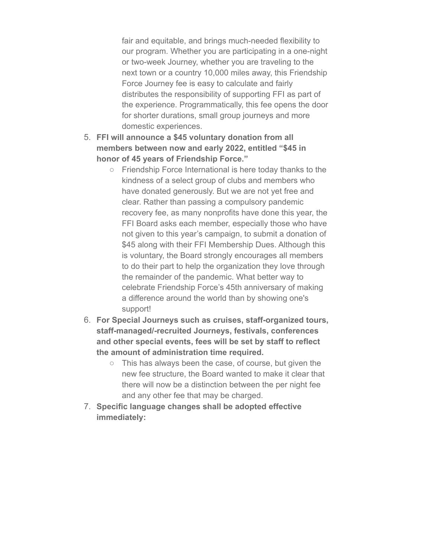fair and equitable, and brings much-needed flexibility to our program. Whether you are participating in a one-night or two-week Journey, whether you are traveling to the next town or a country 10,000 miles away, this Friendship Force Journey fee is easy to calculate and fairly distributes the responsibility of supporting FFI as part of the experience. Programmatically, this fee opens the door for shorter durations, small group journeys and more domestic experiences.

- 5. **FFI will announce a \$45 voluntary donation from all members between now and early 2022, entitled "\$45 in honor of 45 years of Friendship Force."**
	- Friendship Force International is here today thanks to the kindness of a select group of clubs and members who have donated generously. But we are not yet free and clear. Rather than passing a compulsory pandemic recovery fee, as many nonprofits have done this year, the FFI Board asks each member, especially those who have not given to this year's campaign, to submit a donation of \$45 along with their FFI Membership Dues. Although this is voluntary, the Board strongly encourages all members to do their part to help the organization they love through the remainder of the pandemic. What better way to celebrate Friendship Force's 45th anniversary of making a difference around the world than by showing one's support!
- 6. **For Special Journeys such as cruises, staff-organized tours, staff-managed/-recruited Journeys, festivals, conferences and other special events, fees will be set by staff to reflect the amount of administration time required.**
	- This has always been the case, of course, but given the new fee structure, the Board wanted to make it clear that there will now be a distinction between the per night fee and any other fee that may be charged.
- 7. **Specific language changes shall be adopted effective immediately:**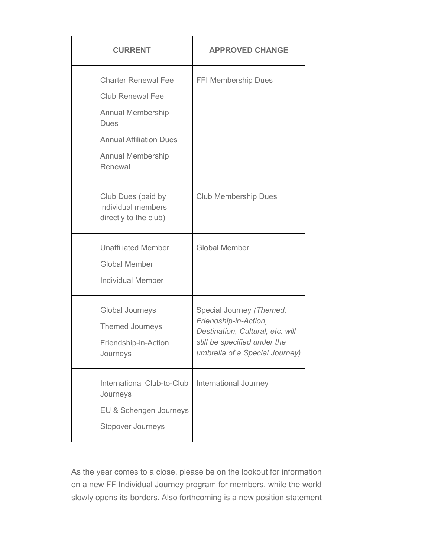| <b>CURRENT</b>                                                                                                                                                     | <b>APPROVED CHANGE</b>                                                                                                                                  |  |  |
|--------------------------------------------------------------------------------------------------------------------------------------------------------------------|---------------------------------------------------------------------------------------------------------------------------------------------------------|--|--|
| <b>Charter Renewal Fee</b><br><b>Club Renewal Fee</b><br><b>Annual Membership</b><br>Dues<br><b>Annual Affiliation Dues</b><br><b>Annual Membership</b><br>Renewal | <b>FFI Membership Dues</b>                                                                                                                              |  |  |
| Club Dues (paid by<br>individual members<br>directly to the club)                                                                                                  | <b>Club Membership Dues</b>                                                                                                                             |  |  |
| <b>Unaffiliated Member</b><br><b>Global Member</b><br><b>Individual Member</b>                                                                                     | <b>Global Member</b>                                                                                                                                    |  |  |
| Global Journeys<br>Themed Journeys<br>Friendship-in-Action<br>Journeys                                                                                             | Special Journey (Themed,<br>Friendship-in-Action,<br>Destination, Cultural, etc. will<br>still be specified under the<br>umbrella of a Special Journey) |  |  |
| International Club-to-Club<br>Journeys<br>EU & Schengen Journeys<br>Stopover Journeys                                                                              | International Journey                                                                                                                                   |  |  |

As the year comes to a close, please be on the lookout for information on a new FF Individual Journey program for members, while the world slowly opens its borders. Also forthcoming is a new position statement